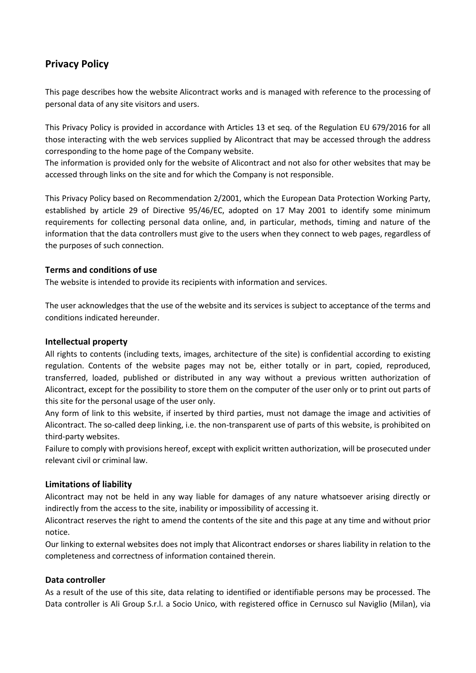# **Privacy Policy**

This page describes how the website Alicontract works and is managed with reference to the processing of personal data of any site visitors and users.

This Privacy Policy is provided in accordance with Articles 13 et seq. of the Regulation EU 679/2016 for all those interacting with the web services supplied by Alicontract that may be accessed through the address corresponding to the home page of the Company website.

The information is provided only for the website of Alicontract and not also for other websites that may be accessed through links on the site and for which the Company is not responsible.

This Privacy Policy based on Recommendation 2/2001, which the European Data Protection Working Party, established by article 29 of Directive 95/46/EC, adopted on 17 May 2001 to identify some minimum requirements for collecting personal data online, and, in particular, methods, timing and nature of the information that the data controllers must give to the users when they connect to web pages, regardless of the purposes of such connection.

# **Terms and conditions of use**

The website is intended to provide its recipients with information and services.

The user acknowledges that the use of the website and its services is subject to acceptance of the terms and conditions indicated hereunder.

## **Intellectual property**

All rights to contents (including texts, images, architecture of the site) is confidential according to existing regulation. Contents of the website pages may not be, either totally or in part, copied, reproduced, transferred, loaded, published or distributed in any way without a previous written authorization of Alicontract, except for the possibility to store them on the computer of the user only or to print out parts of this site for the personal usage of the user only.

Any form of link to this website, if inserted by third parties, must not damage the image and activities of Alicontract. The so-called deep linking, i.e. the non-transparent use of parts of this website, is prohibited on third-party websites.

Failure to comply with provisions hereof, except with explicit written authorization, will be prosecuted under relevant civil or criminal law.

# **Limitations of liability**

Alicontract may not be held in any way liable for damages of any nature whatsoever arising directly or indirectly from the access to the site, inability or impossibility of accessing it.

Alicontract reserves the right to amend the contents of the site and this page at any time and without prior notice.

Our linking to external websites does not imply that Alicontract endorses or shares liability in relation to the completeness and correctness of information contained therein.

#### **Data controller**

As a result of the use of this site, data relating to identified or identifiable persons may be processed. The Data controller is Ali Group S.r.l. a Socio Unico, with registered office in Cernusco sul Naviglio (Milan), via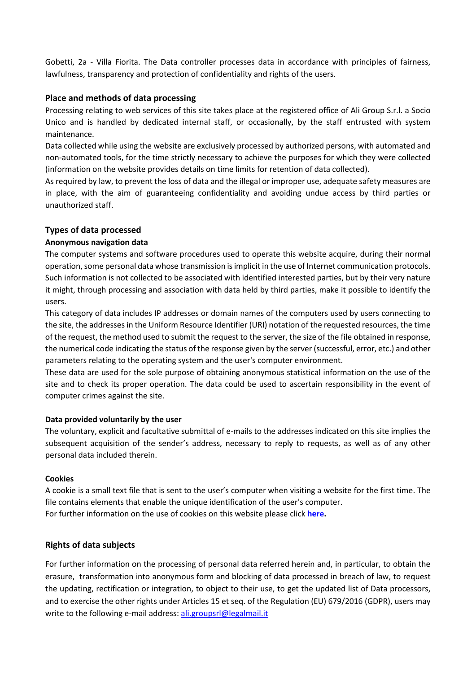Gobetti, 2a - Villa Fiorita. The Data controller processes data in accordance with principles of fairness, lawfulness, transparency and protection of confidentiality and rights of the users.

## **Place and methods of data processing**

Processing relating to web services of this site takes place at the registered office of Ali Group S.r.l. a Socio Unico and is handled by dedicated internal staff, or occasionally, by the staff entrusted with system maintenance.

Data collected while using the website are exclusively processed by authorized persons, with automated and non-automated tools, for the time strictly necessary to achieve the purposes for which they were collected (information on the website provides details on time limits for retention of data collected).

As required by law, to prevent the loss of data and the illegal or improper use, adequate safety measures are in place, with the aim of guaranteeing confidentiality and avoiding undue access by third parties or unauthorized staff.

### **Types of data processed**

### **Anonymous navigation data**

The computer systems and software procedures used to operate this website acquire, during their normal operation, some personal data whose transmission is implicit in the use of Internet communication protocols. Such information is not collected to be associated with identified interested parties, but by their very nature it might, through processing and association with data held by third parties, make it possible to identify the users.

This category of data includes IP addresses or domain names of the computers used by users connecting to the site, the addresses in the Uniform Resource Identifier (URI) notation of the requested resources, the time of the request, the method used to submit the request to the server, the size of the file obtained in response, the numerical code indicating the status of the response given by the server (successful, error, etc.) and other parameters relating to the operating system and the user's computer environment.

These data are used for the sole purpose of obtaining anonymous statistical information on the use of the site and to check its proper operation. The data could be used to ascertain responsibility in the event of computer crimes against the site.

#### **Data provided voluntarily by the user**

The voluntary, explicit and facultative submittal of e-mails to the addresses indicated on this site implies the subsequent acquisition of the sender's address, necessary to reply to requests, as well as of any other personal data included therein.

#### **Cookies**

A cookie is a small text file that is sent to the user's computer when visiting a website for the first time. The file contains elements that enable the unique identification of the user's computer. For further information on the use of cookies on this website please click **[here.](http://www.alicontract.com/cookie-policy.pdf)**

# **Rights of data subjects**

For further information on the processing of personal data referred herein and, in particular, to obtain the erasure, transformation into anonymous form and blocking of data processed in breach of law, to request the updating, rectification or integration, to object to their use, to get the updated list of Data processors, and to exercise the other rights under Articles 15 et seq. of the Regulation (EU) 679/2016 (GDPR), users may write to the following e-mail address[: ali.groupsrl@legalmail.it](mailto:ali.groupsrl@legalmail.it)